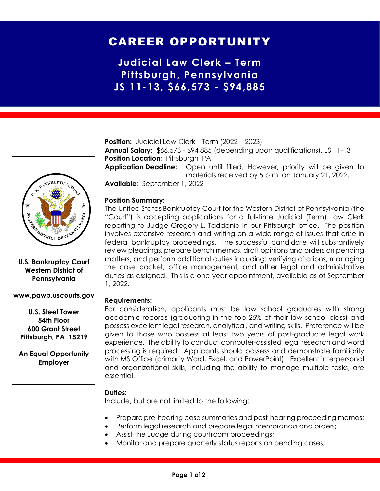# CAREER OPPORTUNITY

**Judicial Law Clerk – Term Pittsburgh, Pennsylvania JS 11-13, \$66,573 - \$94,885**

**Position:** Judicial Law Clerk – Term (2022 – 2023) **Annual Salary:** \$66,573 - \$94,885 (depending upon qualifications), JS 11-13 **Position Location: Pittsburgh, PA** 

**Application Deadline:** Open until filled. However, priority will be given to materials received by 5 p.m. on January 21, 2022.

**Available**: September 1, 2022

## **Position Summary:**

The United States Bankruptcy Court for the Western District of Pennsylvania (the "Court") is accepting applications for a full-time Judicial (Term) Law Clerk reporting to Judge Gregory L. Taddonio in our Pittsburgh office. The position involves extensive research and writing on a wide range of issues that arise in federal bankruptcy proceedings. The successful candidate will substantively review pleadings, prepare bench memos, draft opinions and orders on pending matters, and perform additional duties including: verifying citations, managing the case docket, office management, and other legal and administrative duties as assigned. This is a one-year appointment, available as of September 1, 2022.

## **Requirements:**

For consideration, applicants must be law school graduates with strong academic records (graduating in the top 25% of their law school class) and possess excellent legal research, analytical, and writing skills. Preference will be given to those who possess at least two years of post-graduate legal work experience. The ability to conduct computer-assisted legal research and word processing is required. Applicants should possess and demonstrate familiarity with MS Office (primarily Word, Excel, and PowerPoint). Excellent interpersonal and organizational skills, including the ability to manage multiple tasks, are essential.

#### **Duties:**

Include, but are not limited to the following:

- Prepare pre-hearing case summaries and post-hearing proceeding memos;
- Perform legal research and prepare legal memoranda and orders;
- Assist the Judge during courtroom proceedings;
- Monitor and prepare quarterly status reports on pending cases;



## **U.S. Bankruptcy Court Western District of Pennsylvania**

#### **www.pawb.uscourts.gov**

**U.S. Steel Tower 54th Floor 600 Grant Street Pittsburgh, PA 15219**

**An Equal Opportunity Employer**